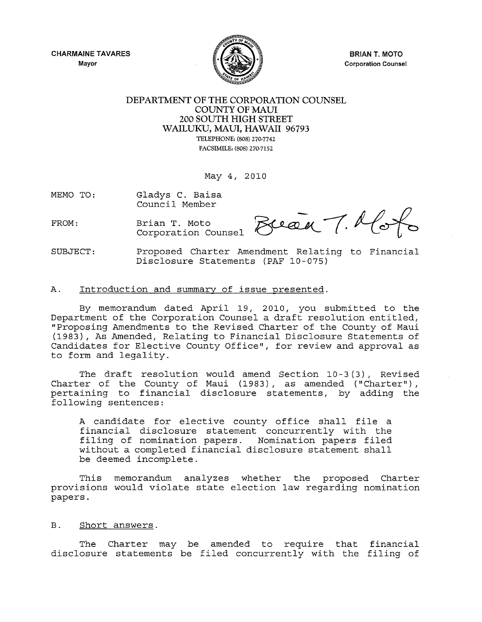**CHARMAINE TAVARES**  Mayor



**BRIAN T. MOTO** Corporation Counsel

## DEPARTMENT OF THE CORPORATION COUNSEL COUNTY OF MAUl 200 SOUTH HIGH STREET WAILUKU, MAUl, HAWAII 96793 TELEPHONE: (808) 270·7742 FACSIMILE: (808) 270·7152

May 4, 2010

MEMO TO: Gladys C. Baisa Council Member

FROM: Brian T. Moto Reeal T. Hotel Brian T. Moto<br>Corporation Counsel  $\bigotimes$ Ceall  $\bigwedge$ .  $\bigwedge$ O $\bigwedge$ 

SUBJECT: Proposed Charter Amendment Relating to Financial Disclosure Statements (PAF 10-075)

## A. Introduction and summary of issue presented.

By memorandum dated April 19, 2010, you submitted to the Department of the Corporation Counsel a draft resolution entitled, "Proposing Amendments to the Revised Charter of the County of Maui (1983), As Amended, Relating to Financial Disclosure Statements of Candidates for Elective County Office", for review and approval as to form and legality.

The draft resolution would amend Section 10-3 (3), Revised Charter of the County of Maui (1983), as amended ("Charter"), pertaining to financial disclosure statements, by adding the following sentences:

A candidate for elective county office shall file a financial disclosure statement concurrently with the filing of nomination papers. Nomination papers filed without a completed financial disclosure statement shall be deemed incomplete.

This memorandum analyzes whether the proposed Charter provisions would violate state election law regarding nomination papers.

## B. Short answers.

The Charter may be amended to require that financial disclosure statements be filed concurrently with the filing of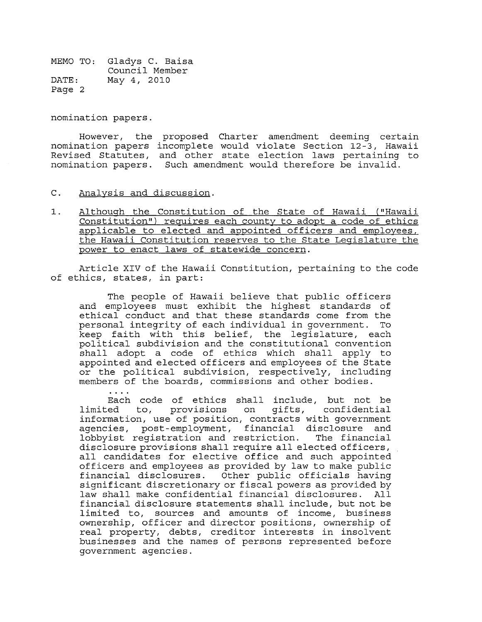nomination papers.

However, the proposed Charter amendment deeming certain nomination papers incomplete would violate Section 12-3, Hawaii Revised Statutes, and other state election laws pertaining to nomination papers. Such amendment would therefore be invalid.

- C. Analysis and discussion.
- 1. Although the Constitution of the State of Hawaii ("Hawaii Constitution") requires each county to adopt a code of ethics applicable to elected and appointed officers and employees, the Hawaii Constitution reserves to the State Legislature the power to enact laws of statewide concern.

Article XIV of the Hawaii Constitution, pertaining to the code of ethics, states, in part:

The people of Hawaii believe that public officers and employees must exhibit the highest standards of ethical conduct and that these standards come from the personal integrity of each individual in government. To keep faith with this belief, the legislature, each political subdivision and the constitutional convention shall adopt a code of ethics which shall apply to appointed and elected officers and employees of the State or the political subdivision, respectively, including members of the boards, commissions and other bodies.

Each code of ethics shall include, but not be limited to, provisions on gifts, confidential information, use of position, contracts with government agencies, post-employment, financial disclosure and lobbyist registration and restriction. The financial disclosure provisions shall require all elected officers, all candidates for elective office and such appointed officers and employees as provided by law to make public financial disclosures. Other public officials having significant discretionary or fiscal powers as provided by law shall make confidential financial disclosures. financial disclosure statements shall include, but not be limited to, sources and amounts of income, business ownership, officer and director positions, ownership of real property, debts, creditor interests in insolvent businesses and the names of persons represented before government agencies.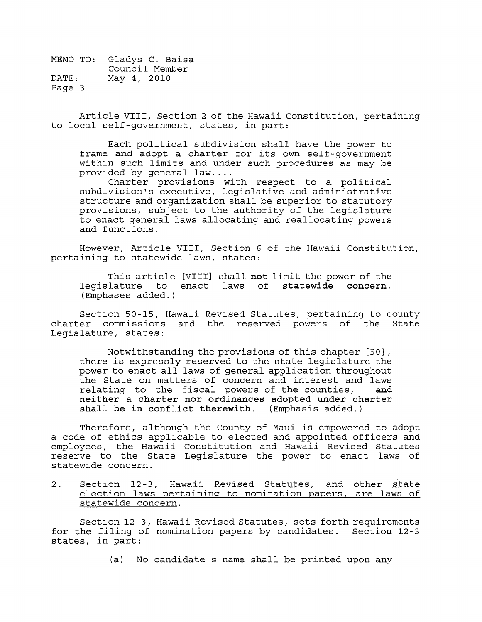Article VIII, Section 2 of the Hawaii Constitution, pertaining to local self-government, states, in part:

Each political subdivision shall have the power to frame and adopt a charter for its own self-government within such limits and under such procedures as may be provided by general law....

Charter provisions with respect to a political subdivision's executive, legislative and administrative structure and organization shall be superior to statutory provisions, subject to the authority of the legislature to enact general laws allocating and reallocating powers and functions.

However, Article VIII, Section 6 of the Hawaii Constitution, pertaining to statewide laws, states:

This article [VIII] shall **not** limit the power of the legislature to enact laws of **statewide** concern. (Emphases added.)

Section 50-IS, Hawaii Revised Statutes, pertaining to county charter commissions and the reserved powers of the State Legislature, states:

Notwithstanding the provisions of this chapter [50], there is expressly reserved to the state legislature the power to enact all laws of general application throughout the State on matters of concern and interest and laws<br>relating to the fiscal powers of the counties, and relating to the fiscal powers of the counties, **neither a charter nor ordinances adopted under charter shall be in conflict therewith.** (Emphasis added.)

Therefore, although the County of Maui is empowered to adopt a code of ethics applicable to elected and appointed officers and employees, the Hawaii Constitution and Hawaii Revised Statutes reserve to the State Legislature the power to enact laws of statewide concern.

2. Section 12-3, Hawaii Revised Statutes, and other state election laws pertaining to nomination papers, are laws of statewide concern.

Section 12-3, Hawaii Revised Statutes, sets forth requirements for the filing of nomination papers by candidates. Section 12-3 states, in part:

(a) No candidate's name shall be printed upon any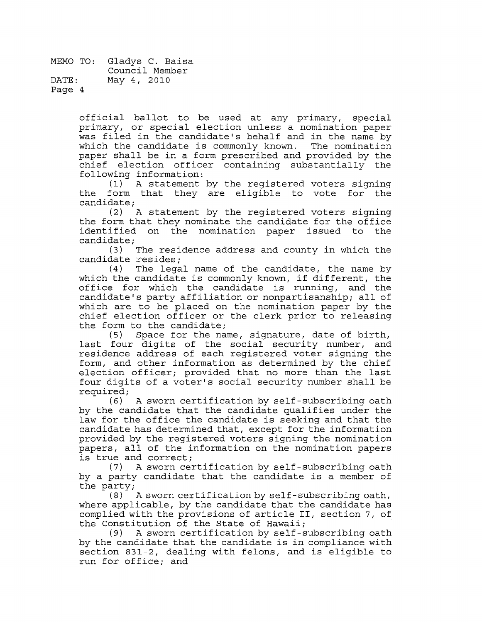> official ballot to be used at any primary, special primary, or special election unless a nomination paper was filed in the candidate's behalf and in the name by which the candidate is commonly known. The nomination paper shall be in a form prescribed and provided by the chief election officer containing substantially the following information:

> A statement by the registered voters signing the form that they are eligible to vote for the candidate;

> (2) A statement by the registered voters signing the form that they nominate the candidate for the office<br>identified on the nomination paper issued to the identified on the nomination paper issued candidate;<br>(3)

> The residence address and county in which the

candidate resides;<br>4) The lega The legal name of the candidate, the name by which the candidate is commonly known, if different, the office for which the candidate is running, and the candidate's party affiliation or nonpartisanship; all of which are to be placed on the nomination paper by the chief election officer or the clerk prior to releasing the form to the candidate;<br>(5) Space for the na

Space for the name, signature, date of birth, last four digits of the social security number, and residence address of each registered voter signing the form, and other information as determined by the chief election officer; provided that no more than the last four digits of a voter's social security number shall be required;<br>(6)

A sworn certification by self-subscribing oath by the candidate that the candidate qualifies under the law for the office the candidate is seeking and that the candidate has determined that, except for the information provided by the registered voters signing the nomination papers, all of the information on the nomination papers is true and correct;

(7) A sworn certification by self-subscribing oath by a party candidate that the candidate is a member of the party;

 $(8)$  A sworn certification by self-subscribing oath, where applicable, by the candidate that the candidate has complied with the provisions of article II, section 7, of the Constitution of the State of Hawaii;

(9) A sworn certification by self-subscribing oath by the candidate that the candidate is in compliance with section 831-2, dealing with felons, and is eligible to run for office; and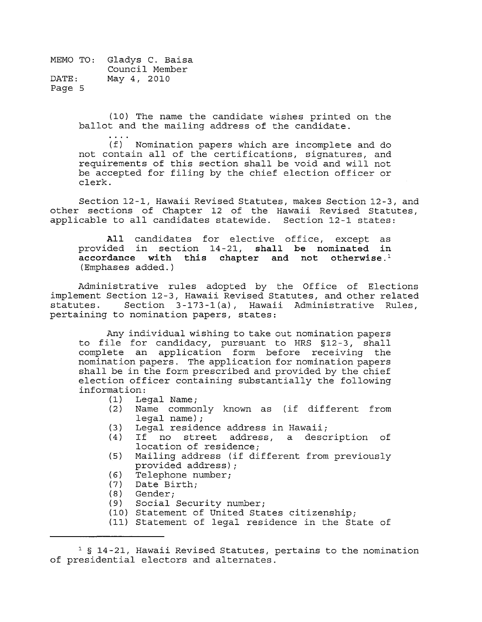$\sim$   $\sim$   $\sim$ 

(10) The name the candidate wishes printed on the ballot and the mailing address of the candidate.

(f) Nomination papers which are incomplete and do not contain all of the certifications, signatures, and requirements of this section shall be void and will not be accepted for filing by the chief election officer or clerk.

Section 12-1, Hawaii Revised Statutes, makes Section 12-3, and other sections of Chapter 12 of the Hawaii Revised Statutes, applicable to all candidates statewide. Section 12-1 states:

**All** candidates for elective office, except as provided in section 14-21, **shall be nominated in accordance with this chapter and not otherwise. <sup>1</sup>** (Emphases added.)

Administrative rules adopted by the Office of Elections implement Section 12-3, Hawaii Revised Statutes, and other related statutes. Section 3-173-1(a), Hawaii Administrative Rules, pertaining to nomination papers, states:

Any individual wishing to take out nomination papers to file for candidacy, pursuant to HRS §12-3, shall complete an application form before receiving the nomination papers. The application for nomination papers shall be in the form prescribed and provided by the chief election officer containing substantially the following information:<br>(1) Le

- (1) Legal Name;<br>(2) Name commo:
	- Name commonly known as (if different from legal name);
- (3) Legal residence address in Hawaii;
- If no street address, a description of location of residence;
- (5) Mailing address (if different from previously provided address) ;
- (6) Telephone number;<br>(7) Date Birth;
- (7) Date Birth;<br>(8) Gender:
- Gender;
- (9) Social Security number;
- (10) Statement of United States citizenship;
- (11) Statement of legal residence in the State of

 $1$  § 14-21, Hawaii Revised Statutes, pertains to the nomination of presidential electors and alternates.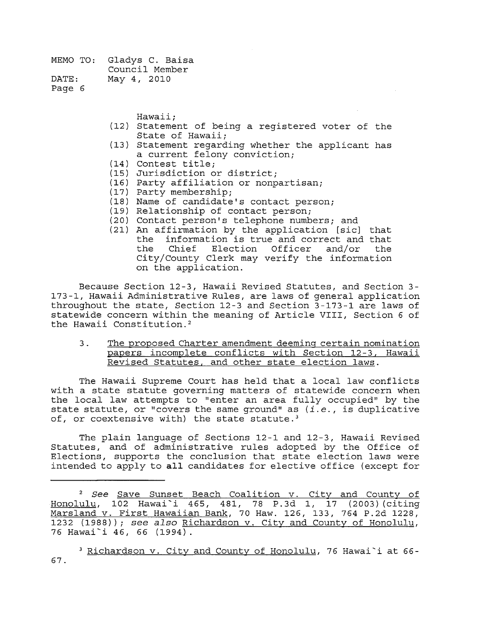Page 6

Hawaii;

- (12) Statement of being a registered voter of the State of Hawaii;
- (13) Statement regarding whether the applicant has a current felony conviction;
- (14) Contest title;
- (15) Jurisdiction or district;
- (16) Party affiliation or nonpartisan;
- (17) Party membership;
- (18) Name of candidate's contact person;
- (19) Relationship of contact person;
- (20) Contact person's telephone numbers; and
- (21) An affirmation by the application [sic] that the information is true and correct and that<br>the Chief Election Officer and/or the Election Officer and/or City/County Clerk may verify the information on the application.

Because Section 12-3, Hawaii Revised Statutes, and Section 3-173-1, Hawaii Administrative Rules, are laws of general application throughout the state, Section  $12-3$  and Section  $3-173-1$  are laws of statewide concern within the meaning of Article VIII, Section 6 of the Hawaii Constitution. <sup>2</sup>

3. The proposed Charter amendment deeming certain nomination papers incomplete conflicts with Section 12-3, Hawaii Revised Statutes, and other state election laws.

The Hawaii Supreme Court has held that a local law conflicts with a state statute governing matters of statewide concern when the local law attempts to "enter an area fully occupied" by the state statute, or "covers the same ground" as *(i.e., is duplicative* of, or coextensive with) the state statute.<sup>3</sup>

The plain language of Sections 12-1 and *12-3 <sup>1</sup>*Hawaii Revised Statutes, and of administrative rules adopted by the Office of Elections, supports the conclusion that state election laws were intended to apply to **all** candidates for elective office (except for

<sup>2</sup>*See* Save Sunset Beach Coalition v. City and County of Honolulu <sup>l</sup>102 Hawai~i *465 1 481 <sup>1</sup>*78 P.3d *11* 17 (2003) (citing Marsland v. First Hawaiian Bank <sup>l</sup>70 Haw. *<sup>126</sup> 1 133 <sup>1</sup>*764 P.2d *<sup>1228</sup> <sup>1</sup>* 1232 (1988)); *see also* Richardson v. City and County of Honolulu, 76 Hawai'i *46 <sup>1</sup>*66 (1994).

 $3$  Richardson v. City and County of Honolulu, 76 Hawai'i at 66-67.